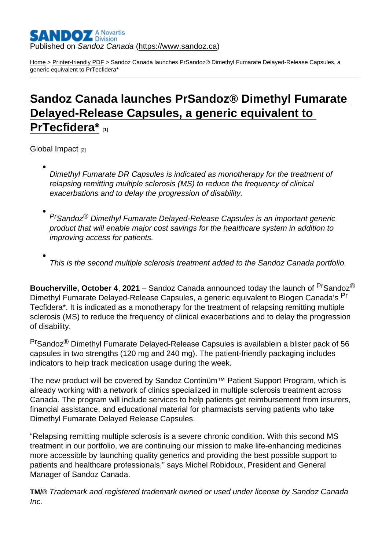### Published on Sandoz Canada [\(https://www.sandoz.ca](https://www.sandoz.ca))

[Home](https://www.sandoz.ca/en) > [Printer-friendly PDF](https://www.sandoz.ca/en/printpdf) > Sandoz Canada launches PrSandoz® Dimethyl Fumarate Delayed-Release Capsules, a generic equivalent to PrTecfidera\*

# [Sandoz Canada launches PrSandoz® Dimethyl Fumarate](https://www.sandoz.ca/en/stories/global-impact/sandoz-canada-launches-prsandoz-dimethyl-fumarate-delayed-release-capsules)  [Delayed-Release Capsules, a generic equivalent to](https://www.sandoz.ca/en/stories/global-impact/sandoz-canada-launches-prsandoz-dimethyl-fumarate-delayed-release-capsules)  PrTecfidera<sup>\*</sup>

[Global Impact](https://www.sandoz.ca/en/stories/global-impact) [2]

Dimethyl Fumarate DR Capsules is indicated as monotherapy for the treatment of relapsing remitting multiple sclerosis (MS) to reduce the frequency of clinical exacerbations and to delay the progression of disability.

PrSandoz® Dimethyl Fumarate Delayed-Release Capsules is an important generic product that will enable major cost savings for the healthcare system in addition to improving access for patients.

This is the second multiple sclerosis treatment added to the Sandoz Canada portfolio.

Boucherville, October 4 , 2021 – Sandoz Canada announced today the launch of <sup>Pr</sup>Sandoz<sup>®</sup> Dimethyl Fumarate Delayed-Release Capsules, a generic equivalent to Biogen Canada's <sup>Pr</sup> Tecfidera\*. It is indicated as a monotherapy for the treatment of relapsing remitting multiple sclerosis (MS) to reduce the frequency of clinical exacerbations and to delay the progression of disability.

PrSandoz® Dimethyl Fumarate Delayed-Release Capsules is availablein a blister pack of 56 capsules in two strengths (120 mg and 240 mg). The patient-friendly packaging includes indicators to help track medication usage during the week.

The new product will be covered by Sandoz Continüm™ Patient Support Program, which is already working with a network of clinics specialized in multiple sclerosis treatment across Canada. The program will include services to help patients get reimbursement from insurers, financial assistance, and educational material for pharmacists serving patients who take Dimethyl Fumarate Delayed Release Capsules.

"Relapsing remitting multiple sclerosis is a severe chronic condition. With this second MS treatment in our portfolio, we are continuing our mission to make life-enhancing medicines more accessible by launching quality generics and providing the best possible support to patients and healthcare professionals," says Michel Robidoux, President and General Manager of Sandoz Canada.

TM/® Trademark and registered trademark owned or used under license by Sandoz Canada Inc.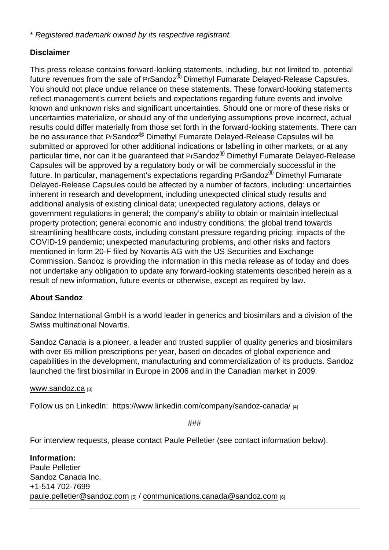\* Registered trademark owned by its respective registrant.

# **Disclaimer**

This press release contains forward-looking statements, including, but not limited to, potential future revenues from the sale of PrSandoz<sup>®</sup> Dimethyl Fumarate Delayed-Release Capsules. You should not place undue reliance on these statements. These forward-looking statements reflect management's current beliefs and expectations regarding future events and involve known and unknown risks and significant uncertainties. Should one or more of these risks or uncertainties materialize, or should any of the underlying assumptions prove incorrect, actual results could differ materially from those set forth in the forward-looking statements. There can be no assurance that PrSandoz<sup>®</sup> Dimethyl Fumarate Delayed-Release Capsules will be submitted or approved for other additional indications or labelling in other markets, or at any particular time, nor can it be quaranteed that PrSandoz<sup>®</sup> Dimethyl Fumarate Delayed-Release Capsules will be approved by a regulatory body or will be commercially successful in the future. In particular, management's expectations regarding PrSandoz® Dimethyl Fumarate Delayed-Release Capsules could be affected by a number of factors, including: uncertainties inherent in research and development, including unexpected clinical study results and additional analysis of existing clinical data; unexpected regulatory actions, delays or government regulations in general; the company's ability to obtain or maintain intellectual property protection; general economic and industry conditions; the global trend towards streamlining healthcare costs, including constant pressure regarding pricing; impacts of the COVID-19 pandemic; unexpected manufacturing problems, and other risks and factors mentioned in form 20-F filed by Novartis AG with the US Securities and Exchange Commission. Sandoz is providing the information in this media release as of today and does not undertake any obligation to update any forward-looking statements described herein as a result of new information, future events or otherwise, except as required by law.

## About Sandoz

Sandoz International GmbH is a world leader in generics and biosimilars and a division of the Swiss multinational Novartis.

Sandoz Canada is a pioneer, a leader and trusted supplier of quality generics and biosimilars with over 65 million prescriptions per year, based on decades of global experience and capabilities in the development, manufacturing and commercialization of its products. Sandoz launched the first biosimilar in Europe in 2006 and in the Canadian market in 2009.

[www.sandoz.ca](http://www.sandoz.ca) [3]

Follow us on LinkedIn: https://www.linkedin.com/company/sandoz-canada/ [4]

###

For interview requests, please contact Paule Pelletier (see contact information below).

Information: Paule Pelletier Sandoz Canada Inc. +1-514 702-7699 [paule.pelletier@sandoz.com](mailto:paule.pelletier@sandoz.com) [5] / [communications.canada@sandoz.com](mailto:communications.canada@sandoz.com) [6]